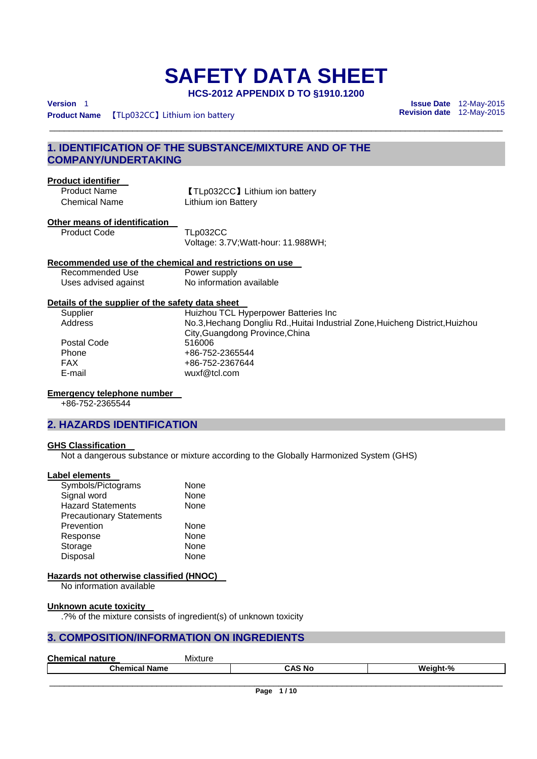# **SAFETY DATA SHEET**

**HCS-2012 APPENDIX D TO §1910.1200** 

\_\_\_\_\_\_\_\_\_\_\_\_\_\_\_\_\_\_\_\_\_\_\_\_\_\_\_\_\_\_\_\_\_\_\_\_\_\_\_\_\_\_\_\_\_\_\_\_\_\_\_\_\_\_\_\_\_\_\_\_\_\_\_\_\_\_\_\_\_\_\_\_\_\_\_\_\_\_\_\_\_\_\_\_\_\_\_\_\_\_\_\_\_

**Product Name 【TLp032CC】Lithium ion battery** 

**Version** 1 **Issue Date** 12-May-2015

### **1. IDENTIFICATION OF THE SUBSTANCE/MIXTURE AND OF THE COMPANY/UNDERTAKING**

### **Product identifier**

Product Name **[TLp032CC]** Lithium ion battery Chemical Name Lithium ion Battery

### **Other means of identification**

Product Code TLp032CC Voltage: 3.7V;Watt-hour: 11.988WH;

### **Recommended use of the chemical and restrictions on use**

Recommended Use Power supply Uses advised against No information available

### **Details of the supplier of the safety data sheet**

Supplier Fuizhou TCL Hyperpower Batteries Inc<br>Address Mo.3 Hechang Dongliu Rd Huitai Indus Address No.3,Hechang Dongliu Rd.,Huitai Industrial Zone,Huicheng District,Huizhou City,Guangdong Province,China Postal Code 516006 Phone +86-752-2365544<br>FAX +86-752-2367644 FAX +86-752-2367644 E-mail wuxf@tcl.com

### **Emergency telephone number**

+86-752-2365544

### **2. HAZARDS IDENTIFICATION**

### **GHS Classification**

Not a dangerous substance or mixture according to the Globally Harmonized System (GHS)

#### **Label elements**

| Symbols/Pictograms              | None |
|---------------------------------|------|
| Signal word                     | None |
| <b>Hazard Statements</b>        | None |
| <b>Precautionary Statements</b> |      |
| Prevention                      | None |
| Response                        | None |
| Storage                         | None |
| Disposal                        | None |

### **Hazards not otherwise classified (HNOC)**

No information available

#### **Unknown acute toxicity**

.?% of the mixture consists of ingredient(s) of unknown toxicity

### **3. COMPOSITION/INFORMATION ON INGREDIENTS**

| <b>Chemical</b><br>nature | Mixture |          |
|---------------------------|---------|----------|
| <b>Chemical Name</b>      | CAS No  | Weight-% |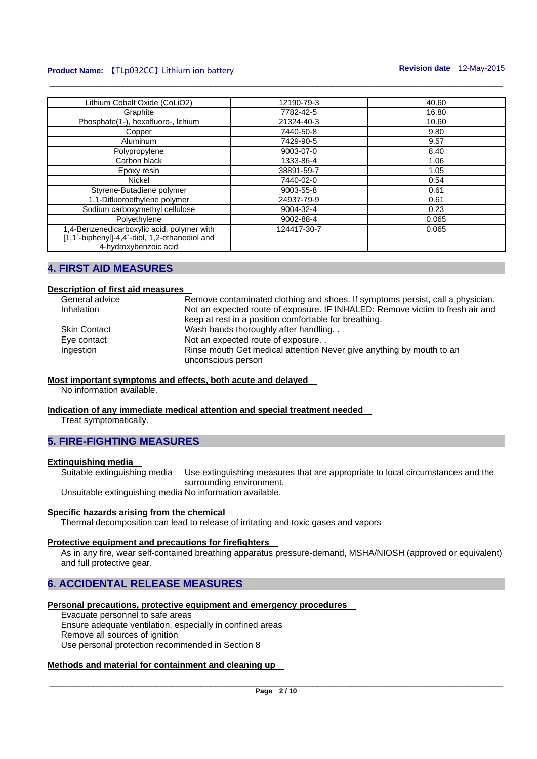### **Product Name:**  $[I Lp032CC]$  Lithium ion battery **Revision date 12-May-2015**

| Lithium Cobalt Oxide (CoLiO2)                                                                                        | 12190-79-3  | 40.60 |
|----------------------------------------------------------------------------------------------------------------------|-------------|-------|
| Graphite                                                                                                             | 7782-42-5   | 16.80 |
| Phosphate(1-), hexafluoro-, lithium                                                                                  | 21324-40-3  | 10.60 |
| Copper                                                                                                               | 7440-50-8   | 9.80  |
| Aluminum                                                                                                             | 7429-90-5   | 9.57  |
| Polypropylene                                                                                                        | 9003-07-0   | 8.40  |
| Carbon black                                                                                                         | 1333-86-4   | 1.06  |
| Epoxy resin                                                                                                          | 38891-59-7  | 1.05  |
| Nickel                                                                                                               | 7440-02-0   | 0.54  |
| Styrene-Butadiene polymer                                                                                            | 9003-55-8   | 0.61  |
| 1,1-Difluoroethylene polymer                                                                                         | 24937-79-9  | 0.61  |
| Sodium carboxymethyl cellulose                                                                                       | 9004-32-4   | 0.23  |
| Polyethylene                                                                                                         | 9002-88-4   | 0.065 |
| 1,4-Benzenedicarboxylic acid, polymer with<br>[1,1`-biphenyl]-4,4`-diol, 1,2-ethanediol and<br>4-hydroxybenzoic acid | 124417-30-7 | 0.065 |

\_\_\_\_\_\_\_\_\_\_\_\_\_\_\_\_\_\_\_\_\_\_\_\_\_\_\_\_\_\_\_\_\_\_\_\_\_\_\_\_\_\_\_\_\_\_\_\_\_\_\_\_\_\_\_\_\_\_\_\_\_\_\_\_\_\_\_\_\_\_\_\_\_\_\_\_\_\_\_\_\_\_\_\_\_\_\_\_\_\_\_\_\_

### **4. FIRST AID MEASURES**

### **Description of first aid measures**

| General advice      | Remove contaminated clothing and shoes. If symptoms persist, call a physician. |
|---------------------|--------------------------------------------------------------------------------|
| Inhalation          | Not an expected route of exposure. IF INHALED: Remove victim to fresh air and  |
|                     | keep at rest in a position comfortable for breathing.                          |
| <b>Skin Contact</b> | Wash hands thoroughly after handling. .                                        |
| Eye contact         | Not an expected route of exposure                                              |
| Ingestion           | Rinse mouth Get medical attention Never give anything by mouth to an           |
|                     | unconscious person                                                             |

### **Most important symptoms and effects, both acute and delayed**

No information available.

### **Indication of any immediate medical attention and special treatment needed**

Treat symptomatically.

### **5. FIRE-FIGHTING MEASURES**

#### **Extinguishing media**

Suitable extinguishing media Use extinguishing measures that are appropriate to local circumstances and the surrounding environment.

Unsuitable extinguishing media No information available.

#### **Specific hazards arising from the chemical**

Thermal decomposition can lead to release of irritating and toxic gases and vapors

#### **Protective equipment and precautions for firefighters**

As in any fire, wear self-contained breathing apparatus pressure-demand, MSHA/NIOSH (approved or equivalent) and full protective gear.

### **6. ACCIDENTAL RELEASE MEASURES**

#### **Personal precautions, protective equipment and emergency procedures**

Evacuate personnel to safe areas Ensure adequate ventilation, especially in confined areas Remove all sources of ignition Use personal protection recommended in Section 8

#### **Methods and material for containment and cleaning up**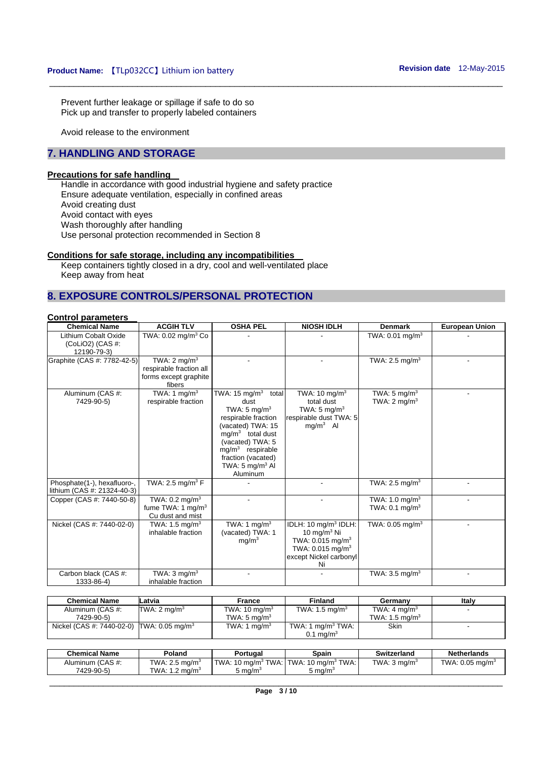Prevent further leakage or spillage if safe to do so Pick up and transfer to properly labeled containers

Avoid release to the environment

### **7. HANDLING AND STORAGE**

### **Precautions for safe handling**

Handle in accordance with good industrial hygiene and safety practice Ensure adequate ventilation, especially in confined areas Avoid creating dust Avoid contact with eyes Wash thoroughly after handling Use personal protection recommended in Section 8

### **Conditions for safe storage, including any incompatibilities**

Keep containers tightly closed in a dry, cool and well-ventilated place Keep away from heat

### **8. EXPOSURE CONTROLS/PERSONAL PROTECTION**

### **Control parameters**

| <b>Chemical Name</b>            | <b>ACGIH TLV</b>               | <b>OSHA PEL</b>                        | <b>NIOSH IDLH</b>                | <b>Denmark</b>              | <b>European Union</b> |
|---------------------------------|--------------------------------|----------------------------------------|----------------------------------|-----------------------------|-----------------------|
| Lithium Cobalt Oxide            | TWA: 0.02 mg/m <sup>3</sup> Co |                                        |                                  | TWA: 0.01 mg/m <sup>3</sup> |                       |
| (ColIO2) (CAS #:<br>12190-79-3) |                                |                                        |                                  |                             |                       |
| Graphite (CAS #: 7782-42-5)     | TWA: $2 \text{ mg/m}^3$        |                                        |                                  | TWA: 2.5 mg/m <sup>3</sup>  |                       |
|                                 | respirable fraction all        |                                        |                                  |                             |                       |
|                                 | forms except graphite          |                                        |                                  |                             |                       |
|                                 | fibers                         |                                        |                                  |                             |                       |
| Aluminum (CAS #:                | TWA: 1 mg/m $3$                | TWA: 15 mg/m $3$<br>total              | TWA: $10 \text{ mg/m}^3$         | TWA: $5 \text{ mg/m}^3$     |                       |
| 7429-90-5)                      | respirable fraction            | dust                                   | total dust                       | TWA: $2 \text{ mg/m}^3$     |                       |
|                                 |                                | TWA: 5 mg/m <sup>3</sup>               | TWA: $5 \text{ mg/m}^3$          |                             |                       |
|                                 |                                | respirable fraction                    | respirable dust TWA: 5           |                             |                       |
|                                 |                                | (vacated) TWA: 15                      | $mg/m3$ Al                       |                             |                       |
|                                 |                                | $mq/m3$ total dust                     |                                  |                             |                       |
|                                 |                                | (vacated) TWA: 5<br>$mq/m3$ respirable |                                  |                             |                       |
|                                 |                                | fraction (vacated)                     |                                  |                             |                       |
|                                 |                                | TWA: $5 \text{ mg/m}^3$ Al             |                                  |                             |                       |
|                                 |                                | Aluminum                               |                                  |                             |                       |
| Phosphate(1-), hexafluoro-,     | TWA: 2.5 mg/m <sup>3</sup> $F$ |                                        |                                  | TWA: 2.5 mg/m <sup>3</sup>  |                       |
| lithium (CAS #: 21324-40-3)     |                                |                                        |                                  |                             |                       |
| Copper (CAS #: 7440-50-8)       | TWA: $0.2 \text{ mg/m}^3$      |                                        |                                  | TWA: 1.0 mg/m <sup>3</sup>  |                       |
|                                 | fume TWA: 1 mg/m <sup>3</sup>  |                                        |                                  | TWA: $0.1 \text{ mg/m}^3$   |                       |
|                                 | Cu dust and mist               |                                        |                                  |                             |                       |
| Nickel (CAS #: 7440-02-0)       | TWA: $1.5 \text{ mg/m}^3$      | TWA: 1 mg/m <sup>3</sup>               | IDLH: 10 mg/m <sup>3</sup> IDLH: | TWA: $0.05 \text{ mg/m}^3$  |                       |
|                                 | inhalable fraction             | (vacated) TWA: 1                       | 10 mg/m $3$ Ni                   |                             |                       |
|                                 |                                | mq/m <sup>3</sup>                      | TWA: $0.015$ mg/m <sup>3</sup>   |                             |                       |
|                                 |                                |                                        | TWA: $0.015$ mg/m <sup>3</sup>   |                             |                       |
|                                 |                                |                                        | except Nickel carbonyl           |                             |                       |
|                                 |                                |                                        | Ni                               |                             |                       |
| Carbon black (CAS #:            | TWA: $3 \text{ mq/m}^3$        |                                        |                                  | TWA: $3.5 \text{ mg/m}^3$   |                       |
| 1333-86-4)                      | inhalable fraction             |                                        |                                  |                             |                       |

\_\_\_\_\_\_\_\_\_\_\_\_\_\_\_\_\_\_\_\_\_\_\_\_\_\_\_\_\_\_\_\_\_\_\_\_\_\_\_\_\_\_\_\_\_\_\_\_\_\_\_\_\_\_\_\_\_\_\_\_\_\_\_\_\_\_\_\_\_\_\_\_\_\_\_\_\_\_\_\_\_\_\_\_\_\_\_\_\_\_\_\_\_

| <b>Chemical Name</b>                                  | Latvia                   | France                   | <b>Finland</b>          | Germany                   | Italy |
|-------------------------------------------------------|--------------------------|--------------------------|-------------------------|---------------------------|-------|
| Aluminum (CAS #:                                      | TWA: 2 mg/m <sup>3</sup> | TWA: $10 \text{ mg/m}^3$ | TWA: 1.5 mg/m $3$       | TWA: $4 \text{ mg/m}^3$   |       |
| 7429-90-5)                                            |                          | TWA: 5 mg/m <sup>3</sup> |                         | TWA: $1.5 \text{ ma/m}^3$ |       |
| Nickel (CAS #: 7440-02-0) TWA: 0.05 mg/m <sup>3</sup> |                          | TWA: 1 $ma/m3$           | TWA: 1 $ma/m3 TWA$ : 1  | <b>Skin</b>               |       |
|                                                       |                          |                          | $0.1 \,\mathrm{mq/m^3}$ |                           |       |

| Chemical Name    | Poland                     | Portuɑal | Spain                                                 | Switzerland             | <b>Netherlands</b>            |
|------------------|----------------------------|----------|-------------------------------------------------------|-------------------------|-------------------------------|
| Aluminum (CAS #: | TWA: 2.5 mg/m <sup>3</sup> |          | $'$ TWA: 10 mg/m $^3$ TWA: I TWA: 10 mg/m $^3$ TWA: I | TWA: $3 \text{ ma/m}^3$ | TWA: $0.05$ ma/m <sup>3</sup> |
| 7429-90-5)       | TWA: $1.2 \text{ ma/m}^3$  | ةma/m ز  | ma/m <sup>3</sup> د                                   |                         |                               |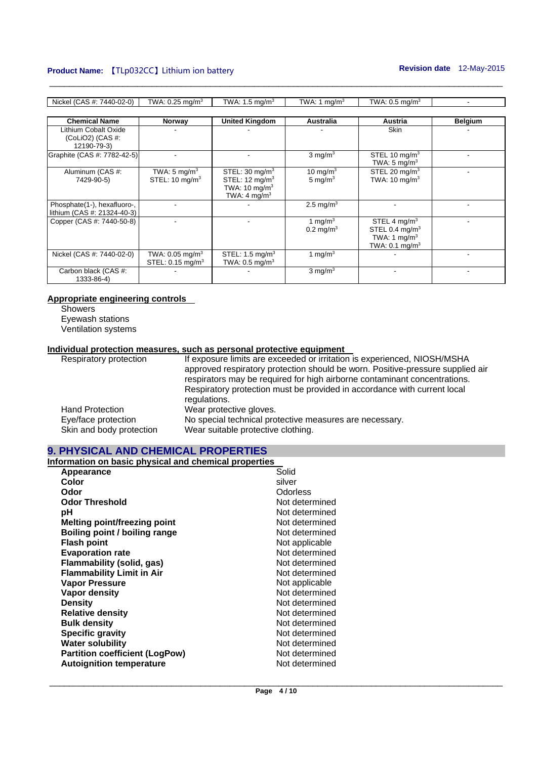### **Product Name:** [TLp032CC] Lithium ion battery **Revision date 12-May-2015**

-

- -

- -

- -

STEL 4 mg/ $m<sup>3</sup>$ STEL 0.4 mg/ $m<sup>3</sup>$ TWA: 1 mg/ $m<sup>3</sup>$ TWA:  $0.1 \text{ mg/m}^3$ 

| Nickel (CAS #: 7440-02-0)   | TWA: $0.25$ mg/m <sup>3</sup> | TWA: $1.5 \text{ mg/m}^3$  | TWA: 1 mg/m <sup>3</sup> | TWA: $0.5 \text{ mg/m}^3$ |                |
|-----------------------------|-------------------------------|----------------------------|--------------------------|---------------------------|----------------|
|                             |                               |                            |                          |                           |                |
| <b>Chemical Name</b>        | <b>Norway</b>                 | <b>United Kingdom</b>      | <b>Australia</b>         | Austria                   | <b>Belgium</b> |
| Lithium Cobalt Oxide        |                               |                            |                          | Skin                      |                |
| $(CoLiO2)$ $(CAS #:$        |                               |                            |                          |                           |                |
| 12190-79-3)                 |                               |                            |                          |                           |                |
| Graphite (CAS #: 7782-42-5) |                               |                            | $3 \text{ mg/m}^3$       | STEL 10 $mq/m3$           |                |
|                             |                               |                            |                          | TWA: $5 \text{ mg/m}^3$   |                |
| Aluminum (CAS #:            | TWA: 5 mg/m <sup>3</sup>      | STEL: 30 mg/m <sup>3</sup> | 10 mg/m $3$              | STEL 20 $mg/m3$           |                |
| 7429-90-5)                  | STEL: $10 \text{ mg/m}^3$     | STEL: $12 \text{ mg/m}^3$  | 5 mg/m $3$               | TWA: $10 \text{ mg/m}^3$  |                |

 $- 2.5 \text{ mg/m}^3$ 

1 mg/m $3$  $0.2 \,\mathrm{mg/m^3}$ 

1 mg/ $m<sup>3</sup>$ 

 $3$  mg/m<sup>3</sup>

TWA: 10 mg/ $m<sup>3</sup>$ TWA:  $4 \text{ mg/m}^3$ 

STEL: 1.5 mg/m3 TWA: 0.5 mg/m3

\_\_\_\_\_\_\_\_\_\_\_\_\_\_\_\_\_\_\_\_\_\_\_\_\_\_\_\_\_\_\_\_\_\_\_\_\_\_\_\_\_\_\_\_\_\_\_\_\_\_\_\_\_\_\_\_\_\_\_\_\_\_\_\_\_\_\_\_\_\_\_\_\_\_\_\_\_\_\_\_\_\_\_\_\_\_\_\_\_\_\_\_\_

## **Appropriate engineering controls**

**Showers** Eyewash stations Ventilation systems

Phosphate(1-), hexafluoro-, lithium (CAS #: 21324-40-3)

Nickel (CAS #: 7440-02-0)

Carbon black (CAS #: 1333-86-4)

### **Individual protection measures, such as personal protective equipment**

Copper (CAS #: 7440-50-8) - - 1 mg/m3

TWA: 0.05 mg/m<sup>3</sup>  $STEL: 0.15 mg/m<sup>3</sup>$ 

| Respiratory protection   | If exposure limits are exceeded or irritation is experienced, NIOSH/MSHA       |
|--------------------------|--------------------------------------------------------------------------------|
|                          | approved respiratory protection should be worn. Positive-pressure supplied air |
|                          | respirators may be required for high airborne contaminant concentrations.      |
|                          | Respiratory protection must be provided in accordance with current local       |
|                          | regulations.                                                                   |
| <b>Hand Protection</b>   | Wear protective gloves.                                                        |
| Eye/face protection      | No special technical protective measures are necessary.                        |
| Skin and body protection | Wear suitable protective clothing.                                             |

### **9. PHYSICAL AND CHEMICAL PROPERTIES**

**Information on basic physical and chemical properties** 

| Appearance                            | Solid          |
|---------------------------------------|----------------|
| Color                                 | silver         |
| Odor                                  | Odorless       |
| <b>Odor Threshold</b>                 | Not determined |
| рH                                    | Not determined |
| <b>Melting point/freezing point</b>   | Not determined |
| Boiling point / boiling range         | Not determined |
| <b>Flash point</b>                    | Not applicable |
| <b>Evaporation rate</b>               | Not determined |
| Flammability (solid, gas)             | Not determined |
| <b>Flammability Limit in Air</b>      | Not determined |
| <b>Vapor Pressure</b>                 | Not applicable |
| <b>Vapor density</b>                  | Not determined |
| <b>Density</b>                        | Not determined |
| <b>Relative density</b>               | Not determined |
| <b>Bulk density</b>                   | Not determined |
| <b>Specific gravity</b>               | Not determined |
| <b>Water solubility</b>               | Not determined |
| <b>Partition coefficient (LogPow)</b> | Not determined |
| <b>Autoignition temperature</b>       | Not determined |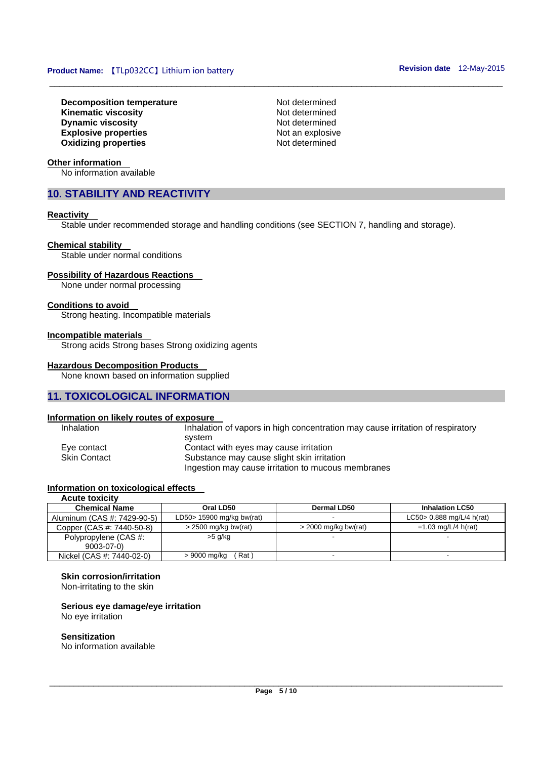**Decomposition temperature Not determined Kinematic viscosity Not determined Dynamic viscosity Not determined Not determined Explosive properties**<br> **Oxidizing properties**<br> **Oxidizing properties**<br> **Not determined Oxidizing properties** 

**Other information** 

No information available

### **10. STABILITY AND REACTIVITY**

#### **Reactivity**

Stable under recommended storage and handling conditions (see SECTION 7, handling and storage).

\_\_\_\_\_\_\_\_\_\_\_\_\_\_\_\_\_\_\_\_\_\_\_\_\_\_\_\_\_\_\_\_\_\_\_\_\_\_\_\_\_\_\_\_\_\_\_\_\_\_\_\_\_\_\_\_\_\_\_\_\_\_\_\_\_\_\_\_\_\_\_\_\_\_\_\_\_\_\_\_\_\_\_\_\_\_\_\_\_\_\_\_\_

#### **Chemical stability**

Stable under normal conditions

#### **Possibility of Hazardous Reactions**

None under normal processing

#### **Conditions to avoid**

Strong heating. Incompatible materials

#### **Incompatible materials**

Strong acids Strong bases Strong oxidizing agents

#### **Hazardous Decomposition Products**

None known based on information supplied

### **11. TOXICOLOGICAL INFORMATION**

#### **Information on likely routes of exposure**

| <b>Inhalation</b>   | Inhalation of vapors in high concentration may cause irritation of respiratory |
|---------------------|--------------------------------------------------------------------------------|
|                     | svstem                                                                         |
| Eye contact         | Contact with eyes may cause irritation                                         |
| <b>Skin Contact</b> | Substance may cause slight skin irritation                                     |
|                     | Ingestion may cause irritation to mucous membranes                             |

### **Information on toxicological effects**

| <b>Acute toxicity</b>       |                           |                        |                              |
|-----------------------------|---------------------------|------------------------|------------------------------|
| <b>Chemical Name</b>        | Oral LD50                 | Dermal LD50            | <b>Inhalation LC50</b>       |
| Aluminum (CAS #: 7429-90-5) | LD50> 15900 mg/kg bw(rat) |                        | LC50 > $0.888$ mg/L/4 h(rat) |
| Copper (CAS #: 7440-50-8)   | $>$ 2500 mg/kg bw(rat)    | $>$ 2000 mg/kg bw(rat) | $=1.03$ mg/L/4 h(rat)        |
| Polypropylene (CAS #:       | $>5$ g/kg                 |                        |                              |
| $9003 - 07 - 0$             |                           |                        |                              |
| Nickel (CAS #: 7440-02-0)   | Rat)<br>> 9000 mg/kg      |                        |                              |

### **Skin corrosion/irritation**

Non-irritating to the skin

### **Serious eye damage/eye irritation**

No eye irritation

### **Sensitization**

No information available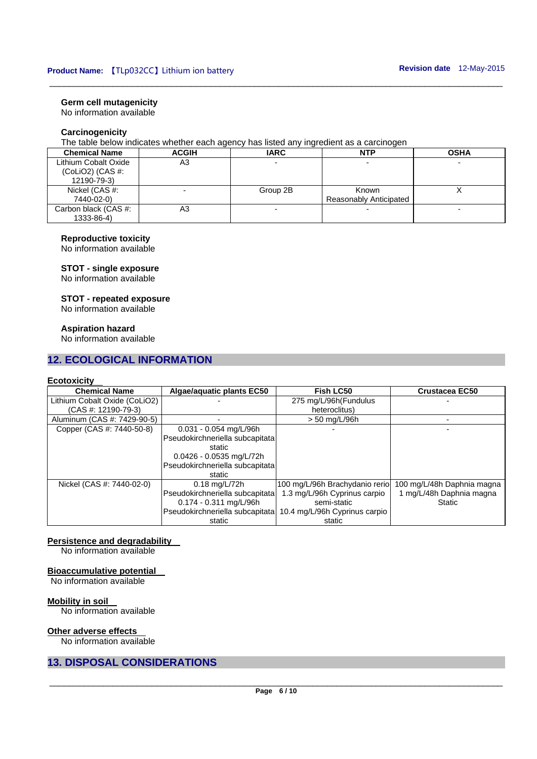### **Germ cell mutagenicity**

No information available

### **Carcinogenicity**

The table below indicates whether each agency has listed any ingredient as a carcinogen

| <b>Chemical Name</b> | <b>ACGIH</b> | <b>IARC</b> | <b>NTP</b>             | <b>OSHA</b> |
|----------------------|--------------|-------------|------------------------|-------------|
| Lithium Cobalt Oxide | A3           |             |                        |             |
| (ColIO2) (CAS #:     |              |             |                        |             |
| 12190-79-3)          |              |             |                        |             |
| Nickel (CAS #:       |              | Group 2B    | Known                  |             |
| 7440-02-0)           |              |             | Reasonably Anticipated |             |
| Carbon black (CAS #: | A3           |             |                        |             |
| 1333-86-4)           |              |             |                        |             |

\_\_\_\_\_\_\_\_\_\_\_\_\_\_\_\_\_\_\_\_\_\_\_\_\_\_\_\_\_\_\_\_\_\_\_\_\_\_\_\_\_\_\_\_\_\_\_\_\_\_\_\_\_\_\_\_\_\_\_\_\_\_\_\_\_\_\_\_\_\_\_\_\_\_\_\_\_\_\_\_\_\_\_\_\_\_\_\_\_\_\_\_\_

### **Reproductive toxicity**

No information available

### **STOT - single exposure**

No information available

#### **STOT - repeated exposure**

No information available

### **Aspiration hazard**

No information available

### **12. ECOLOGICAL INFORMATION**

### **Ecotoxicity**

| <b>Chemical Name</b>          | Algae/aquatic plants EC50       | Fish LC50                      | <b>Crustacea EC50</b>      |
|-------------------------------|---------------------------------|--------------------------------|----------------------------|
| Lithium Cobalt Oxide (CoLiO2) |                                 | 275 mg/L/96h(Fundulus          |                            |
| $(CAS #: 12190-79-3)$         |                                 | heteroclitus)                  |                            |
| Aluminum (CAS #: 7429-90-5)   |                                 | > 50 mg/L/96h                  |                            |
| Copper (CAS #: 7440-50-8)     | $0.031 - 0.054$ mg/L/96h        |                                |                            |
|                               | Pseudokirchneriella subcapitata |                                |                            |
|                               | static                          |                                |                            |
|                               | $0.0426 - 0.0535$ mg/L/72h      |                                |                            |
|                               | Pseudokirchneriella subcapitata |                                |                            |
|                               | static                          |                                |                            |
| Nickel (CAS #: 7440-02-0)     | $0.18 \text{ mg/L} / 72h$       | 100 mg/L/96h Brachydanio rerio | 100 mg/L/48h Daphnia magna |
|                               | Pseudokirchneriella subcapitata | 1.3 mg/L/96h Cyprinus carpio   | 1 mg/L/48h Daphnia magna   |
|                               | $0.174 - 0.311$ mg/L/96h        | semi-static                    | Static                     |
|                               | Pseudokirchneriella subcapitata | 10.4 mg/L/96h Cyprinus carpio  |                            |
|                               | static                          | static                         |                            |

#### **Persistence and degradability**

No information available

#### **Bioaccumulative potential**

No information available

### **Mobility in soil**

No information available

### **Other adverse effects**

No information available

### **13. DISPOSAL CONSIDERATIONS**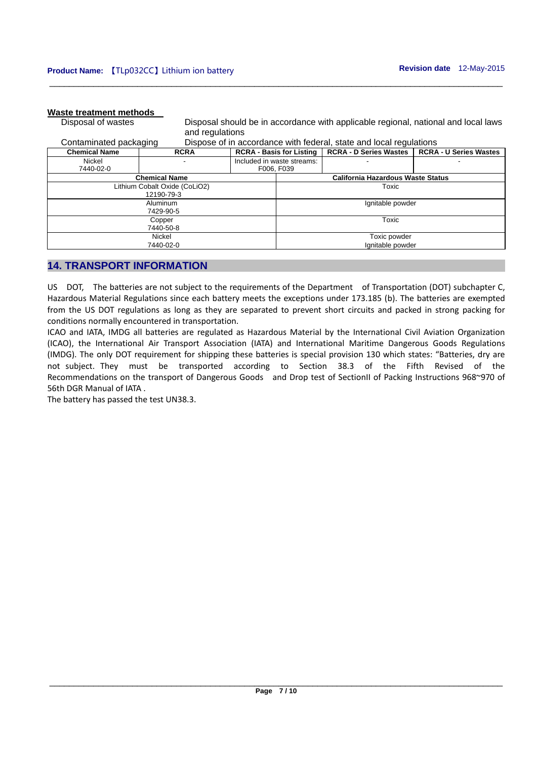### **Waste treatment methods**

Disposal of wastes Disposal should be in accordance with applicable regional, national and local laws and regulations Contaminated packaging Dispose of in accordance with federal, state and local regulations

| Conianilhated packaging |                               |  |                            | Dispose of in accordance with regeral, state and local requiations         |  |
|-------------------------|-------------------------------|--|----------------------------|----------------------------------------------------------------------------|--|
| <b>Chemical Name</b>    | <b>RCRA</b>                   |  |                            | RCRA - Basis for Listing   RCRA - D Series Wastes   RCRA - U Series Wastes |  |
| Nickel                  |                               |  | Included in waste streams: |                                                                            |  |
| 7440-02-0               |                               |  | F006, F039                 |                                                                            |  |
|                         | <b>Chemical Name</b>          |  |                            | California Hazardous Waste Status                                          |  |
|                         | Lithium Cobalt Oxide (CoLiO2) |  |                            | Toxic                                                                      |  |
|                         | 12190-79-3                    |  |                            |                                                                            |  |
| Aluminum                |                               |  | Ignitable powder           |                                                                            |  |
| 7429-90-5               |                               |  |                            |                                                                            |  |
| Copper                  |                               |  |                            | Toxic                                                                      |  |
| 7440-50-8               |                               |  |                            |                                                                            |  |
| Nickel                  |                               |  |                            | Toxic powder                                                               |  |
| 7440-02-0               |                               |  |                            | Ignitable powder                                                           |  |

\_\_\_\_\_\_\_\_\_\_\_\_\_\_\_\_\_\_\_\_\_\_\_\_\_\_\_\_\_\_\_\_\_\_\_\_\_\_\_\_\_\_\_\_\_\_\_\_\_\_\_\_\_\_\_\_\_\_\_\_\_\_\_\_\_\_\_\_\_\_\_\_\_\_\_\_\_\_\_\_\_\_\_\_\_\_\_\_\_\_\_\_\_

### **14. TRANSPORT INFORMATION**

US DOT, The batteries are not subject to the requirements of the Department of Transportation (DOT) subchapter C, Hazardous Material Regulations since each battery meets the exceptions under 173.185 (b). The batteries are exempted from the US DOT regulations as long as they are separated to prevent short circuits and packed in strong packing for conditions normally encountered in transportation.

ICAO and IATA, IMDG all batteries are regulated as Hazardous Material by the International Civil Aviation Organization (ICAO), the International Air Transport Association (IATA) and International Maritime Dangerous Goods Regulations (IMDG). The only DOT requirement for shipping these batteries is special provision 130 which states: "Batteries, dry are not subject. They must be transported according to Section 38.3 of the Fifth Revised of the Recommendations on the transport of Dangerous Goods and Drop test of SectionII of Packing Instructions 968~970 of 56th DGR Manual of IATA .

The battery has passed the test UN38.3.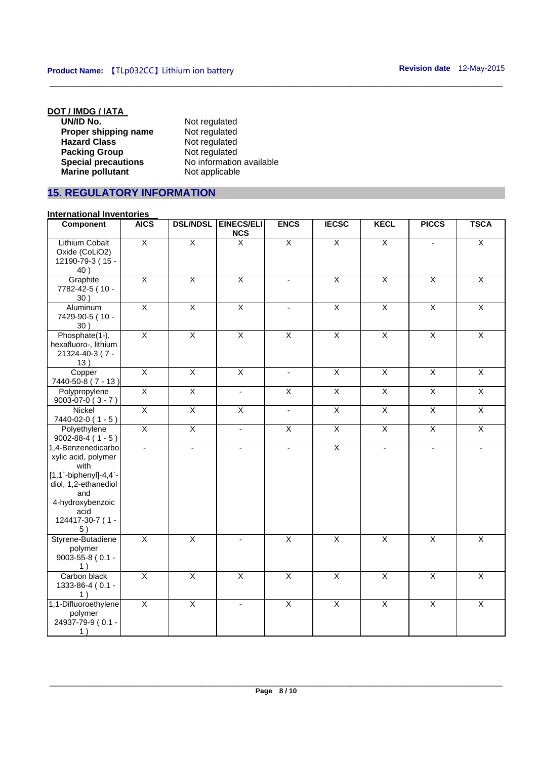| Not regulated            |
|--------------------------|
| Not regulated            |
| Not regulated            |
| Not regulated            |
| No information available |
| Not applicable           |
|                          |

### **15. REGULATORY INFORMATION**

| <u>IIIIEI IIAUVIIAI IIIVEIIIVIIES</u>                                                                                                                              |                         |                         |                                 |                          |                         |                         |                          |                         |
|--------------------------------------------------------------------------------------------------------------------------------------------------------------------|-------------------------|-------------------------|---------------------------------|--------------------------|-------------------------|-------------------------|--------------------------|-------------------------|
| <b>Component</b>                                                                                                                                                   | <b>AICS</b>             | <b>DSL/NDSL</b>         | <b>EINECS/ELI</b><br><b>NCS</b> | <b>ENCS</b>              | <b>IECSC</b>            | <b>KECL</b>             | <b>PICCS</b>             | <b>TSCA</b>             |
| <b>Lithium Cobalt</b><br>Oxide (CoLiO2)<br>12190-79-3 (15 -<br>40)                                                                                                 | $\overline{X}$          | $\overline{\mathsf{x}}$ | $\overline{\mathsf{x}}$         | $\overline{X}$           | $\overline{\mathsf{x}}$ | $\overline{X}$          |                          | $\overline{X}$          |
| Graphite<br>7782-42-5 (10 -<br>30)                                                                                                                                 | $\overline{X}$          | $\overline{X}$          | $\overline{\mathsf{x}}$         | $\sim$                   | $\overline{X}$          | $\overline{X}$          | $\overline{X}$           | $\overline{X}$          |
| Aluminum<br>7429-90-5 (10 -<br>30)                                                                                                                                 | $\overline{X}$          | $\overline{X}$          | $\overline{\mathsf{x}}$         | $\overline{\phantom{a}}$ | $\overline{\mathsf{x}}$ | $\overline{X}$          | $\overline{X}$           | $\overline{X}$          |
| Phosphate(1-),<br>hexafluoro-, lithium<br>21324-40-3 (7 -<br>13)                                                                                                   | $\overline{\mathsf{x}}$ | $\overline{X}$          | $\overline{X}$                  | $\overline{X}$           | $\overline{X}$          | $\overline{X}$          | $\overline{X}$           | X                       |
| Copper<br>7440-50-8 (7 - 13)                                                                                                                                       | $\overline{X}$          | $\overline{X}$          | $\overline{\mathsf{X}}$         | $\blacksquare$           | $\overline{X}$          | $\overline{X}$          | $\overline{X}$           | $\overline{\mathsf{x}}$ |
| Polypropylene<br>$9003-07-0(3 - 7)$                                                                                                                                | $\overline{X}$          | $\overline{X}$          | ÷.                              | $\overline{X}$           | $\overline{X}$          | $\overline{X}$          | $\overline{X}$           | $\overline{X}$          |
| <b>Nickel</b><br>7440-02-0 (1 - 5)                                                                                                                                 | $\overline{X}$          | $\overline{X}$          | $\overline{\mathsf{x}}$         | L.                       | $\overline{X}$          | $\overline{X}$          | $\overline{\mathsf{x}}$  | $\overline{X}$          |
| Polyethylene<br>$9002 - 88 - 4 (1 - 5)$                                                                                                                            | $\overline{X}$          | $\overline{X}$          | $\omega$                        | $\overline{X}$           | $\overline{X}$          | $\overline{X}$          | $\overline{X}$           | $\overline{\mathsf{x}}$ |
| 1,4-Benzenedicarbo<br>xylic acid, polymer<br>with<br>$[1,1`$ -biphenyl]-4,4`-<br>diol, 1,2-ethanediol<br>and<br>4-hydroxybenzoic<br>acid<br>124417-30-7 (1 -<br>5) | ÷,                      | $\blacksquare$          | ÷.                              | $\blacksquare$           | $\overline{X}$          | $\blacksquare$          | $\overline{\phantom{a}}$ |                         |
| Styrene-Butadiene<br>polymer<br>9003-55-8 (0.1 -<br>1)                                                                                                             | $\overline{\mathsf{x}}$ | $\overline{X}$          |                                 | $\overline{\mathsf{x}}$  | $\overline{\mathsf{x}}$ | $\overline{X}$          | $\overline{\mathsf{x}}$  | $\overline{\mathsf{x}}$ |
| Carbon black<br>1333-86-4 (0.1 -<br>1)                                                                                                                             | $\overline{X}$          | $\overline{X}$          | $\overline{X}$                  | $\overline{X}$           | $\overline{\mathsf{x}}$ | $\overline{\mathsf{x}}$ | $\overline{X}$           | $\overline{X}$          |
| 1,1-Difluoroethylene<br>polymer<br>24937-79-9 (0.1 -<br>1)                                                                                                         | $\overline{X}$          | X                       | $\overline{\phantom{a}}$        | $\overline{X}$           | X                       | X                       | X                        | X                       |

\_\_\_\_\_\_\_\_\_\_\_\_\_\_\_\_\_\_\_\_\_\_\_\_\_\_\_\_\_\_\_\_\_\_\_\_\_\_\_\_\_\_\_\_\_\_\_\_\_\_\_\_\_\_\_\_\_\_\_\_\_\_\_\_\_\_\_\_\_\_\_\_\_\_\_\_\_\_\_\_\_\_\_\_\_\_\_\_\_\_\_\_\_

### **International Inventories**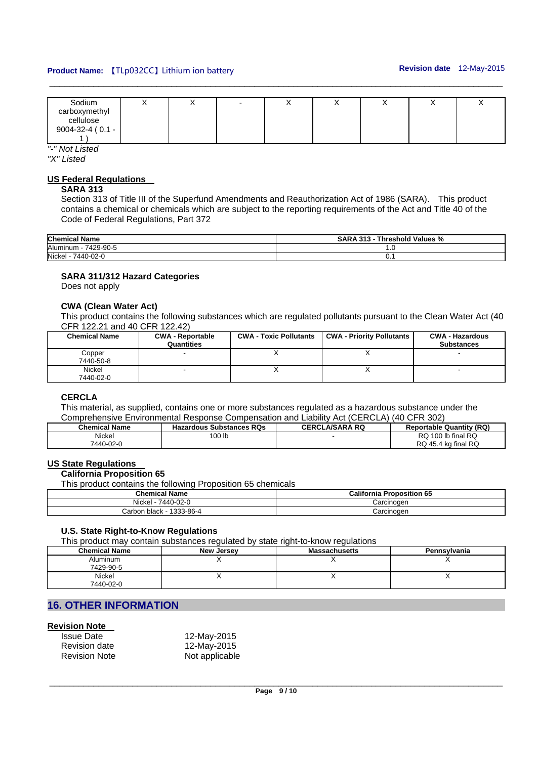### **Product Name:**  $[I Lp032CC]$  Lithium ion battery **Revision date 12-May-2015**

| Sodium              | ↗ |  |  | $\cdot$ |  |
|---------------------|---|--|--|---------|--|
| carboxymethyl       |   |  |  |         |  |
| cellulose           |   |  |  |         |  |
| 9004-32-4 ( $0.1 -$ |   |  |  |         |  |
|                     |   |  |  |         |  |

\_\_\_\_\_\_\_\_\_\_\_\_\_\_\_\_\_\_\_\_\_\_\_\_\_\_\_\_\_\_\_\_\_\_\_\_\_\_\_\_\_\_\_\_\_\_\_\_\_\_\_\_\_\_\_\_\_\_\_\_\_\_\_\_\_\_\_\_\_\_\_\_\_\_\_\_\_\_\_\_\_\_\_\_\_\_\_\_\_\_\_\_\_

*"-" Not Listed* 

*"X" Listed* 

### **US Federal Regulations**

#### **SARA 313**

Section 313 of Title III of the Superfund Amendments and Reauthorization Act of 1986 (SARA). This product contains a chemical or chemicals which are subject to the reporting requirements of the Act and Title 40 of the Code of Federal Regulations, Part 372

| <b>Chemical Name</b>  | <b>SARA 313</b><br>Threshold Values % |
|-----------------------|---------------------------------------|
| Aluminum<br>7429-90-5 | ن. ا                                  |
| Nickel<br>7440-02-0   | ◡.                                    |

### **SARA 311/312 Hazard Categories**

Does not apply

### **CWA (Clean Water Act)**

This product contains the following substances which are regulated pollutants pursuant to the Clean Water Act (40 CFR 122.21 and 40 CFR 122.42)

| <b>Chemical Name</b> | <b>CWA - Reportable</b><br>Quantities | <b>CWA - Toxic Pollutants</b> | <b>CWA - Priority Pollutants</b> | <b>CWA - Hazardous</b><br><b>Substances</b> |
|----------------------|---------------------------------------|-------------------------------|----------------------------------|---------------------------------------------|
| Copper<br>7440-50-8  |                                       |                               |                                  |                                             |
| Nickel<br>7440-02-0  |                                       |                               |                                  |                                             |

### **CERCLA**

 $\vdash$ 

This material, as supplied, contains one or more substances regulated as a hazardous substance under the Comprehensive Environmental Response Compensation and Liability Act (CERCLA) (40 CFR 302)

| <b>Chemical Name</b> | <b>Hazardous Substances RQs</b> | <b>CERCLA/SARA RQ</b> | <b>Reportable Quantity (RQ)</b> |
|----------------------|---------------------------------|-----------------------|---------------------------------|
| Nickel               | 100 lb                          |                       | RQ 100 lb final RQ              |
| 7440-02-0            |                                 |                       | RQ 45.4 kg final RQ             |

### **US State Regulations**

### **California Proposition 65**

This product contains the following Proposition 65 chemicals

| <b>Chemical Name</b>              | <b>California Proposition 65</b> |
|-----------------------------------|----------------------------------|
| Nickel<br>7440-02-0               | Carcinogen                       |
| 1333-86-4<br>, black -<br>شarbor. | Carcinogen                       |

#### **U.S. State Right-to-Know Regulations**

This product may contain substances regulated by state right-to-know regulations

| <b>Chemical Name</b>  | New Jersey | <b>Massachusetts</b> | Pennsylvania |
|-----------------------|------------|----------------------|--------------|
| Aluminum<br>7429-90-5 |            |                      |              |
| Nickel<br>7440-02-0   |            |                      |              |

### **16. OTHER INFORMATION**

### **Revision Note**

| <b>Issue Date</b>    | 12-May-2015    |
|----------------------|----------------|
| <b>Revision date</b> | 12-May-2015    |
| <b>Revision Note</b> | Not applicable |